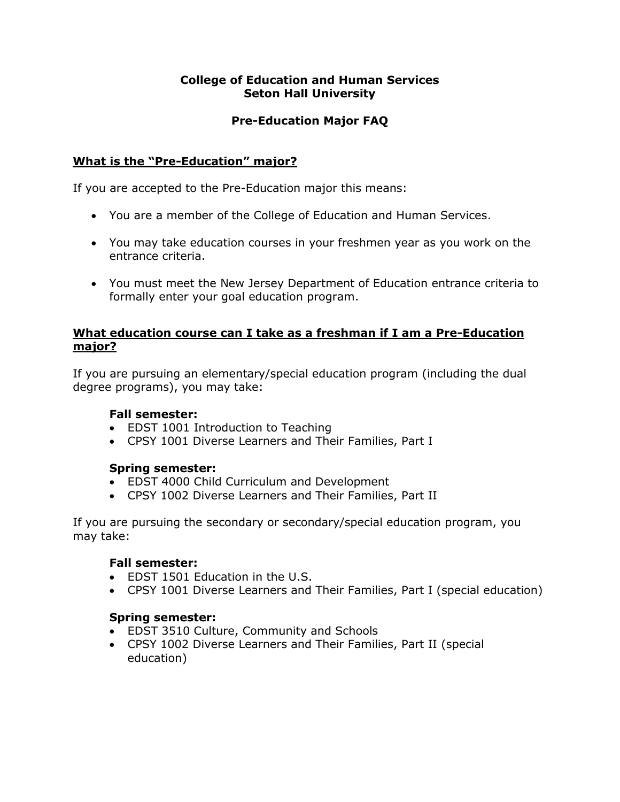## **College of Education and Human Services Seton Hall University**

# **Pre-Education Major FAQ**

# **What is the "Pre-Education" major?**

If you are accepted to the Pre-Education major this means:

- You are a member of the College of Education and Human Services.
- You may take education courses in your freshmen year as you work on the entrance criteria.
- You must meet the New Jersey Department of Education entrance criteria to formally enter your goal education program.

## **What education course can I take as a freshman if I am a Pre-Education major?**

If you are pursuing an elementary/special education program (including the dual degree programs), you may take:

## **Fall semester:**

- EDST 1001 Introduction to Teaching
- CPSY 1001 Diverse Learners and Their Families, Part I

# **Spring semester:**

- EDST 4000 Child Curriculum and Development
- CPSY 1002 Diverse Learners and Their Families, Part II

If you are pursuing the secondary or secondary/special education program, you may take:

## **Fall semester:**

- EDST 1501 Education in the U.S.
- CPSY 1001 Diverse Learners and Their Families, Part I (special education)

## **Spring semester:**

- EDST 3510 Culture, Community and Schools
- CPSY 1002 Diverse Learners and Their Families, Part II (special education)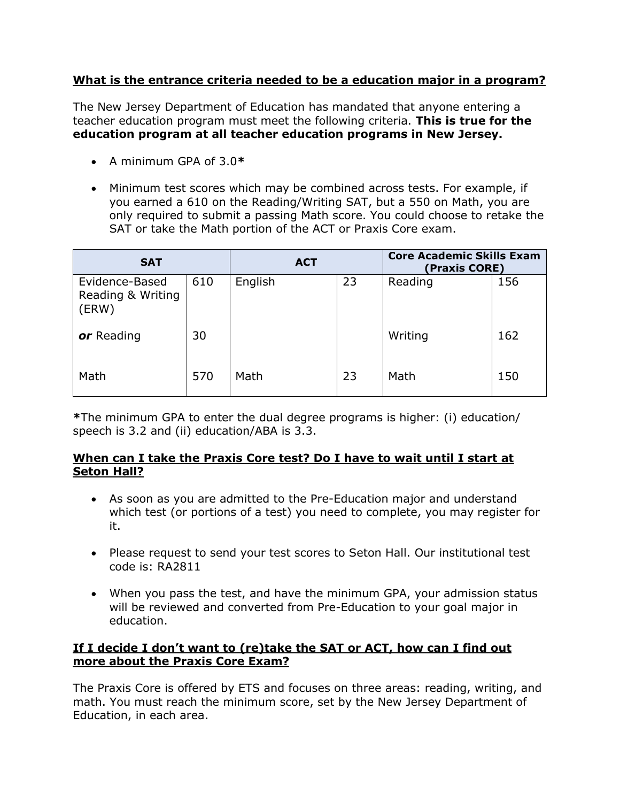# **What is the entrance criteria needed to be a education major in a program?**

The New Jersey Department of Education has mandated that anyone entering a teacher education program must meet the following criteria. **This is true for the education program at all teacher education programs in New Jersey.**

- A minimum GPA of 3.0**\***
- Minimum test scores which may be combined across tests. For example, if you earned a 610 on the Reading/Writing SAT, but a 550 on Math, you are only required to submit a passing Math score. You could choose to retake the SAT or take the Math portion of the ACT or Praxis Core exam.

| <b>SAT</b>                                   |     | <b>ACT</b> |    | <b>Core Academic Skills Exam</b><br>(Praxis CORE) |     |
|----------------------------------------------|-----|------------|----|---------------------------------------------------|-----|
| Evidence-Based<br>Reading & Writing<br>(ERW) | 610 | English    | 23 | Reading                                           | 156 |
| or Reading                                   | 30  |            |    | Writing                                           | 162 |
| Math                                         | 570 | Math       | 23 | Math                                              | 150 |

**\***The minimum GPA to enter the dual degree programs is higher: (i) education/ speech is 3.2 and (ii) education/ABA is 3.3.

#### **When can I take the Praxis Core test? Do I have to wait until I start at Seton Hall?**

- As soon as you are admitted to the Pre-Education major and understand which test (or portions of a test) you need to complete, you may register for it.
- Please request to send your test scores to Seton Hall. Our institutional test code is: RA2811
- When you pass the test, and have the minimum GPA, your admission status will be reviewed and converted from Pre-Education to your goal major in education.

## **If I decide I don't want to (re)take the SAT or ACT, how can I find out more about the Praxis Core Exam?**

The Praxis Core is offered by ETS and focuses on three areas: reading, writing, and math. You must reach the minimum score, set by the New Jersey Department of Education, in each area.